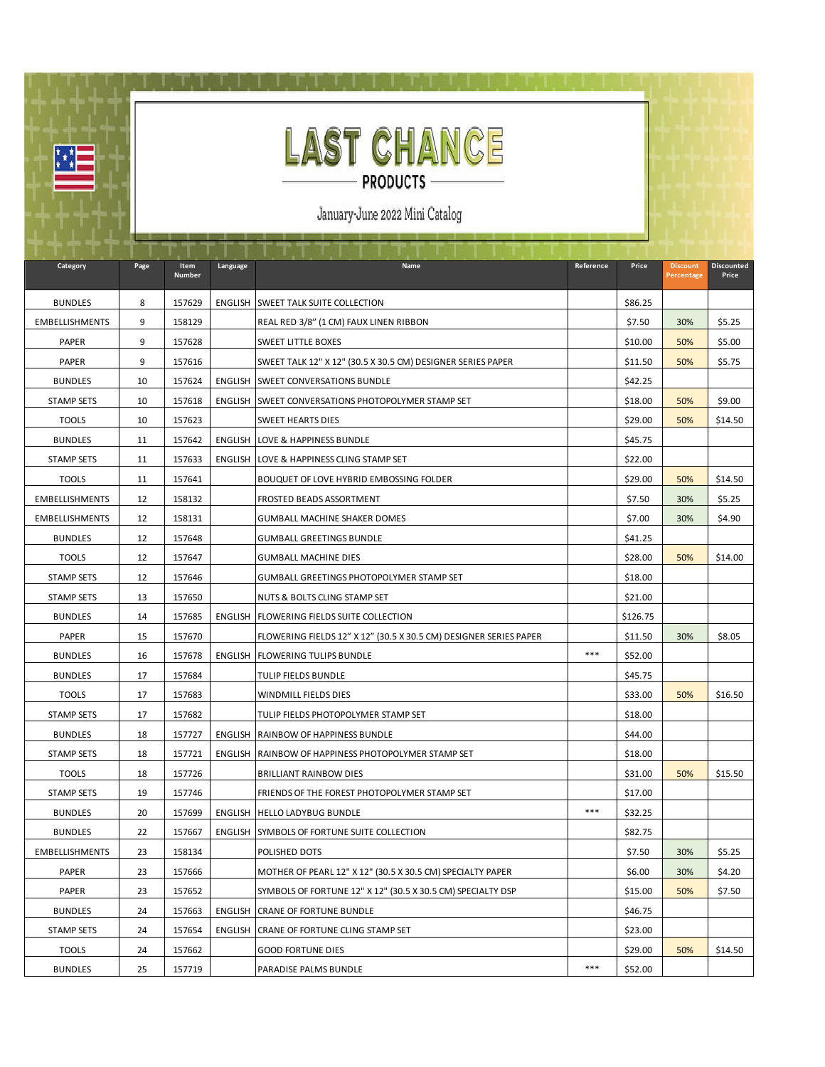

哩

January-June 2022 Mini Catalog

| Category              | Page | Item<br>Number | Language       | Name                                                              | Reference | Price    | <b>Discount</b><br>Percentage | Discounted<br>Price |
|-----------------------|------|----------------|----------------|-------------------------------------------------------------------|-----------|----------|-------------------------------|---------------------|
| <b>BUNDLES</b>        | 8    | 157629         |                | <b>ENGLISH SWEET TALK SUITE COLLECTION</b>                        |           | \$86.25  |                               |                     |
| <b>EMBELLISHMENTS</b> | 9    | 158129         |                | REAL RED 3/8" (1 CM) FAUX LINEN RIBBON                            |           | \$7.50   | 30%                           | \$5.25              |
| PAPER                 | 9    | 157628         |                | <b>SWEET LITTLE BOXES</b>                                         |           | \$10.00  | 50%                           | \$5.00              |
| PAPER                 | 9    | 157616         |                | SWEET TALK 12" X 12" (30.5 X 30.5 CM) DESIGNER SERIES PAPER       |           | \$11.50  | 50%                           | \$5.75              |
| <b>BUNDLES</b>        | 10   | 157624         |                | ENGLISH SWEET CONVERSATIONS BUNDLE                                |           | \$42.25  |                               |                     |
| <b>STAMP SETS</b>     | 10   | 157618         |                | ENGLISH SWEET CONVERSATIONS PHOTOPOLYMER STAMP SET                |           | \$18.00  | 50%                           | \$9.00              |
| <b>TOOLS</b>          | 10   | 157623         |                | <b>SWEET HEARTS DIES</b>                                          |           | \$29.00  | 50%                           | \$14.50             |
| <b>BUNDLES</b>        | 11   | 157642         |                | <b>ENGLISH LOVE &amp; HAPPINESS BUNDLE</b>                        |           | \$45.75  |                               |                     |
| <b>STAMP SETS</b>     | 11   | 157633         |                | ENGLISH LOVE & HAPPINESS CLING STAMP SET                          |           | \$22.00  |                               |                     |
| <b>TOOLS</b>          | 11   | 157641         |                | BOUQUET OF LOVE HYBRID EMBOSSING FOLDER                           |           | \$29.00  | 50%                           | \$14.50             |
| <b>EMBELLISHMENTS</b> | 12   | 158132         |                | FROSTED BEADS ASSORTMENT                                          |           | \$7.50   | 30%                           | \$5.25              |
| <b>EMBELLISHMENTS</b> | 12   | 158131         |                | GUMBALL MACHINE SHAKER DOMES                                      |           | \$7.00   | 30%                           | \$4.90              |
| <b>BUNDLES</b>        | 12   | 157648         |                | <b>GUMBALL GREETINGS BUNDLE</b>                                   |           | \$41.25  |                               |                     |
| <b>TOOLS</b>          | 12   | 157647         |                | <b>GUMBALL MACHINE DIES</b>                                       |           | \$28.00  | 50%                           | \$14.00             |
| <b>STAMP SETS</b>     | 12   | 157646         |                | GUMBALL GREETINGS PHOTOPOLYMER STAMP SET                          |           | \$18.00  |                               |                     |
| <b>STAMP SETS</b>     | 13   | 157650         |                | NUTS & BOLTS CLING STAMP SET                                      |           | \$21.00  |                               |                     |
| <b>BUNDLES</b>        | 14   | 157685         | ENGLISH        | <b>FLOWERING FIELDS SUITE COLLECTION</b>                          |           | \$126.75 |                               |                     |
| PAPER                 | 15   | 157670         |                | FLOWERING FIELDS 12" X 12" (30.5 X 30.5 CM) DESIGNER SERIES PAPER |           | \$11.50  | 30%                           | \$8.05              |
| <b>BUNDLES</b>        | 16   | 157678         |                | <b>ENGLISH FLOWERING TULIPS BUNDLE</b>                            | ***       | \$52.00  |                               |                     |
| <b>BUNDLES</b>        | 17   | 157684         |                | TULIP FIELDS BUNDLE                                               |           | \$45.75  |                               |                     |
| <b>TOOLS</b>          | 17   | 157683         |                | WINDMILL FIELDS DIES                                              |           | \$33.00  | 50%                           | \$16.50             |
| <b>STAMP SETS</b>     | 17   | 157682         |                | TULIP FIELDS PHOTOPOLYMER STAMP SET                               |           | \$18.00  |                               |                     |
| <b>BUNDLES</b>        | 18   | 157727         |                | ENGLISH RAINBOW OF HAPPINESS BUNDLE                               |           | \$44.00  |                               |                     |
| <b>STAMP SETS</b>     | 18   | 157721         | <b>ENGLISH</b> | RAINBOW OF HAPPINESS PHOTOPOLYMER STAMP SET                       |           | \$18.00  |                               |                     |
| <b>TOOLS</b>          | 18   | 157726         |                | <b>BRILLIANT RAINBOW DIES</b>                                     |           | \$31.00  | 50%                           | \$15.50             |
| <b>STAMP SETS</b>     | 19   | 157746         |                | FRIENDS OF THE FOREST PHOTOPOLYMER STAMP SET                      |           | \$17.00  |                               |                     |
| <b>BUNDLES</b>        | 20   | 157699         |                | ENGLISH HELLO LADYBUG BUNDLE                                      | ***       | \$32.25  |                               |                     |
| <b>BUNDLES</b>        | 22   | 157667         | ENGLISH        | SYMBOLS OF FORTUNE SUITE COLLECTION                               |           | \$82.75  |                               |                     |
| <b>EMBELLISHMENTS</b> | 23   | 158134         |                | <b>POLISHED DOTS</b>                                              |           | \$7.50   | 30%                           | \$5.25              |
| PAPER                 | 23   | 157666         |                | MOTHER OF PEARL 12" X 12" (30.5 X 30.5 CM) SPECIALTY PAPER        |           | \$6.00   | 30%                           | \$4.20              |
| PAPER                 | 23   | 157652         |                | SYMBOLS OF FORTUNE 12" X 12" (30.5 X 30.5 CM) SPECIALTY DSP       |           | \$15.00  | 50%                           | \$7.50              |
| <b>BUNDLES</b>        | 24   | 157663         | <b>ENGLISH</b> | <b>CRANE OF FORTUNE BUNDLE</b>                                    |           | \$46.75  |                               |                     |
| <b>STAMP SETS</b>     | 24   | 157654         | ENGLISH        | CRANE OF FORTUNE CLING STAMP SET                                  |           | \$23.00  |                               |                     |
| <b>TOOLS</b>          | 24   | 157662         |                | <b>GOOD FORTUNE DIES</b>                                          |           | \$29.00  | 50%                           | \$14.50             |
| <b>BUNDLES</b>        | 25   | 157719         |                | PARADISE PALMS BUNDLE                                             | ***       | \$52.00  |                               |                     |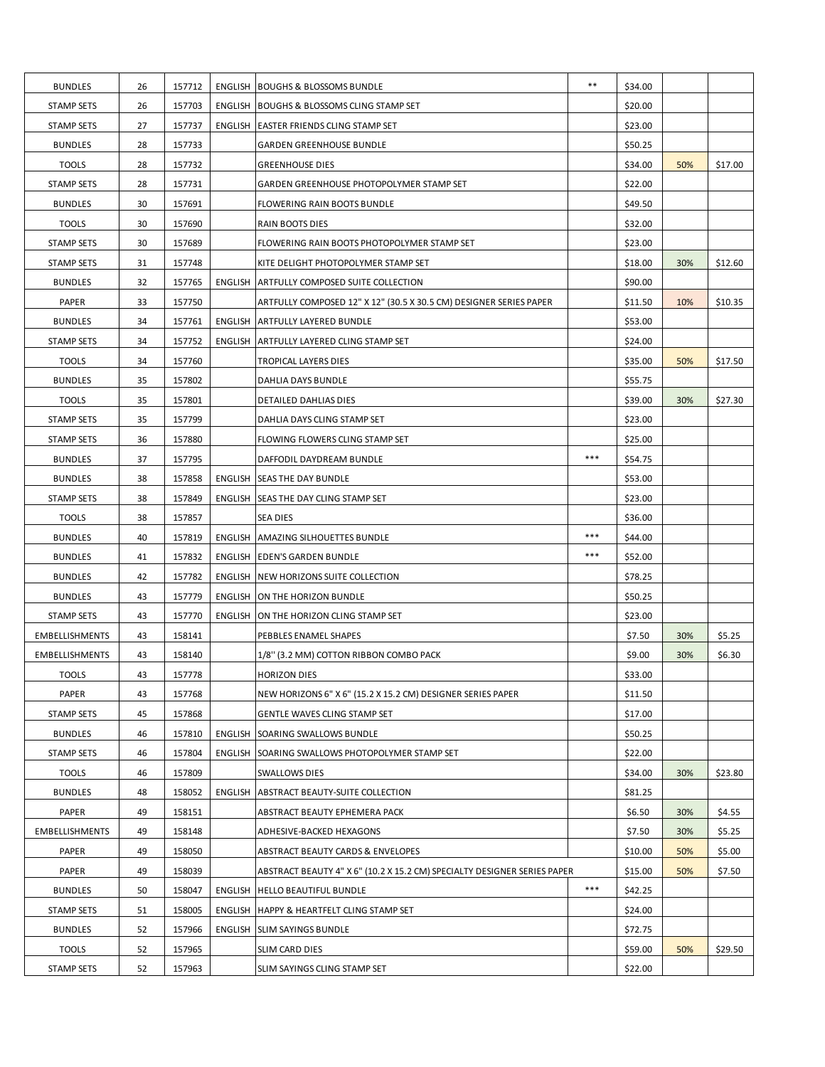| <b>BUNDLES</b>        | 26 | 157712 | <b>ENGLISH BOUGHS &amp; BLOSSOMS BUNDLE</b>                              | $***$ | \$34.00 |     |         |
|-----------------------|----|--------|--------------------------------------------------------------------------|-------|---------|-----|---------|
| <b>STAMP SETS</b>     | 26 | 157703 | ENGLISH BOUGHS & BLOSSOMS CLING STAMP SET                                |       | \$20.00 |     |         |
| <b>STAMP SETS</b>     | 27 | 157737 | ENGLISH EASTER FRIENDS CLING STAMP SET                                   |       | \$23.00 |     |         |
| <b>BUNDLES</b>        | 28 | 157733 | <b>GARDEN GREENHOUSE BUNDLE</b>                                          |       | \$50.25 |     |         |
| <b>TOOLS</b>          | 28 | 157732 | <b>GREENHOUSE DIES</b>                                                   |       | \$34.00 | 50% | \$17.00 |
| STAMP SETS            | 28 | 157731 | GARDEN GREENHOUSE PHOTOPOLYMER STAMP SET                                 |       | \$22.00 |     |         |
| <b>BUNDLES</b>        | 30 | 157691 | FLOWERING RAIN BOOTS BUNDLE                                              |       | \$49.50 |     |         |
| <b>TOOLS</b>          | 30 | 157690 | <b>RAIN BOOTS DIES</b>                                                   |       | \$32.00 |     |         |
| <b>STAMP SETS</b>     | 30 | 157689 | FLOWERING RAIN BOOTS PHOTOPOLYMER STAMP SET                              |       | \$23.00 |     |         |
| <b>STAMP SETS</b>     | 31 | 157748 | KITE DELIGHT PHOTOPOLYMER STAMP SET                                      |       | \$18.00 | 30% | \$12.60 |
| <b>BUNDLES</b>        | 32 | 157765 | ENGLISH ARTFULLY COMPOSED SUITE COLLECTION                               |       | \$90.00 |     |         |
| PAPER                 | 33 | 157750 | ARTFULLY COMPOSED 12" X 12" (30.5 X 30.5 CM) DESIGNER SERIES PAPER       |       | \$11.50 | 10% | \$10.35 |
| <b>BUNDLES</b>        | 34 | 157761 | ENGLISH ARTFULLY LAYERED BUNDLE                                          |       | \$53.00 |     |         |
| <b>STAMP SETS</b>     | 34 | 157752 | ENGLISH ARTFULLY LAYERED CLING STAMP SET                                 |       | \$24.00 |     |         |
| <b>TOOLS</b>          | 34 | 157760 | TROPICAL LAYERS DIES                                                     |       | \$35.00 | 50% | \$17.50 |
| <b>BUNDLES</b>        | 35 | 157802 | DAHLIA DAYS BUNDLE                                                       |       | \$55.75 |     |         |
| <b>TOOLS</b>          | 35 | 157801 | <b>DETAILED DAHLIAS DIES</b>                                             |       | \$39.00 | 30% | \$27.30 |
| <b>STAMP SETS</b>     | 35 | 157799 | DAHLIA DAYS CLING STAMP SET                                              |       | \$23.00 |     |         |
| <b>STAMP SETS</b>     | 36 | 157880 | FLOWING FLOWERS CLING STAMP SET                                          |       | \$25.00 |     |         |
| <b>BUNDLES</b>        | 37 | 157795 | DAFFODIL DAYDREAM BUNDLE                                                 | $***$ | \$54.75 |     |         |
| <b>BUNDLES</b>        | 38 | 157858 | ENGLISH SEAS THE DAY BUNDLE                                              |       | \$53.00 |     |         |
|                       |    | 157849 |                                                                          |       | \$23.00 |     |         |
| <b>STAMP SETS</b>     | 38 |        | ENGLISH SEAS THE DAY CLING STAMP SET                                     |       |         |     |         |
| <b>TOOLS</b>          | 38 | 157857 | SEA DIES                                                                 |       | \$36.00 |     |         |
| <b>BUNDLES</b>        | 40 | 157819 | ENGLISH AMAZING SILHOUETTES BUNDLE                                       | $***$ | \$44.00 |     |         |
| <b>BUNDLES</b>        | 41 | 157832 | ENGLISH EDEN'S GARDEN BUNDLE                                             | $***$ | \$52.00 |     |         |
| <b>BUNDLES</b>        | 42 | 157782 | ENGLISH INEW HORIZONS SUITE COLLECTION                                   |       | \$78.25 |     |         |
| <b>BUNDLES</b>        | 43 | 157779 | ENGLISH ON THE HORIZON BUNDLE                                            |       | \$50.25 |     |         |
| <b>STAMP SETS</b>     | 43 | 157770 | ENGLISH ON THE HORIZON CLING STAMP SET                                   |       | \$23.00 |     |         |
| <b>EMBELLISHMENTS</b> | 43 | 158141 | PEBBLES ENAMEL SHAPES                                                    |       | \$7.50  | 30% | \$5.25  |
| <b>EMBELLISHMENTS</b> | 43 | 158140 | 1/8" (3.2 MM) COTTON RIBBON COMBO PACK                                   |       | \$9.00  | 30% | \$6.30  |
| <b>TOOLS</b>          | 43 | 157778 | <b>HORIZON DIES</b>                                                      |       | \$33.00 |     |         |
| PAPER                 | 43 | 157768 | NEW HORIZONS 6" X 6" (15.2 X 15.2 CM) DESIGNER SERIES PAPER              |       | \$11.50 |     |         |
| <b>STAMP SETS</b>     | 45 | 157868 | GENTLE WAVES CLING STAMP SET                                             |       | \$17.00 |     |         |
| <b>BUNDLES</b>        | 46 | 157810 | ENGLISH SOARING SWALLOWS BUNDLE                                          |       | \$50.25 |     |         |
| <b>STAMP SETS</b>     | 46 | 157804 | ENGLISH SOARING SWALLOWS PHOTOPOLYMER STAMP SET                          |       | \$22.00 |     |         |
| <b>TOOLS</b>          | 46 | 157809 | <b>SWALLOWS DIES</b>                                                     |       | \$34.00 | 30% | \$23.80 |
| <b>BUNDLES</b>        | 48 | 158052 | ENGLISH ABSTRACT BEAUTY-SUITE COLLECTION                                 |       | \$81.25 |     |         |
| PAPER                 | 49 | 158151 | ABSTRACT BEAUTY EPHEMERA PACK                                            |       | \$6.50  | 30% | \$4.55  |
| <b>EMBELLISHMENTS</b> | 49 | 158148 | ADHESIVE-BACKED HEXAGONS                                                 |       | \$7.50  | 30% | \$5.25  |
| PAPER                 | 49 | 158050 | ABSTRACT BEAUTY CARDS & ENVELOPES                                        |       | \$10.00 | 50% | \$5.00  |
| PAPER                 | 49 | 158039 | ABSTRACT BEAUTY 4" X 6" (10.2 X 15.2 CM) SPECIALTY DESIGNER SERIES PAPER |       | \$15.00 | 50% | \$7.50  |
| <b>BUNDLES</b>        | 50 | 158047 | ENGLISH HELLO BEAUTIFUL BUNDLE                                           | $***$ | \$42.25 |     |         |
| STAMP SETS            | 51 | 158005 | ENGLISH   HAPPY & HEARTFELT CLING STAMP SET                              |       | \$24.00 |     |         |
| <b>BUNDLES</b>        | 52 | 157966 | ENGLISH SLIM SAYINGS BUNDLE                                              |       | \$72.75 |     |         |
| <b>TOOLS</b>          | 52 | 157965 | SLIM CARD DIES                                                           |       | \$59.00 | 50% | \$29.50 |
| <b>STAMP SETS</b>     | 52 | 157963 | SLIM SAYINGS CLING STAMP SET                                             |       | \$22.00 |     |         |
|                       |    |        |                                                                          |       |         |     |         |